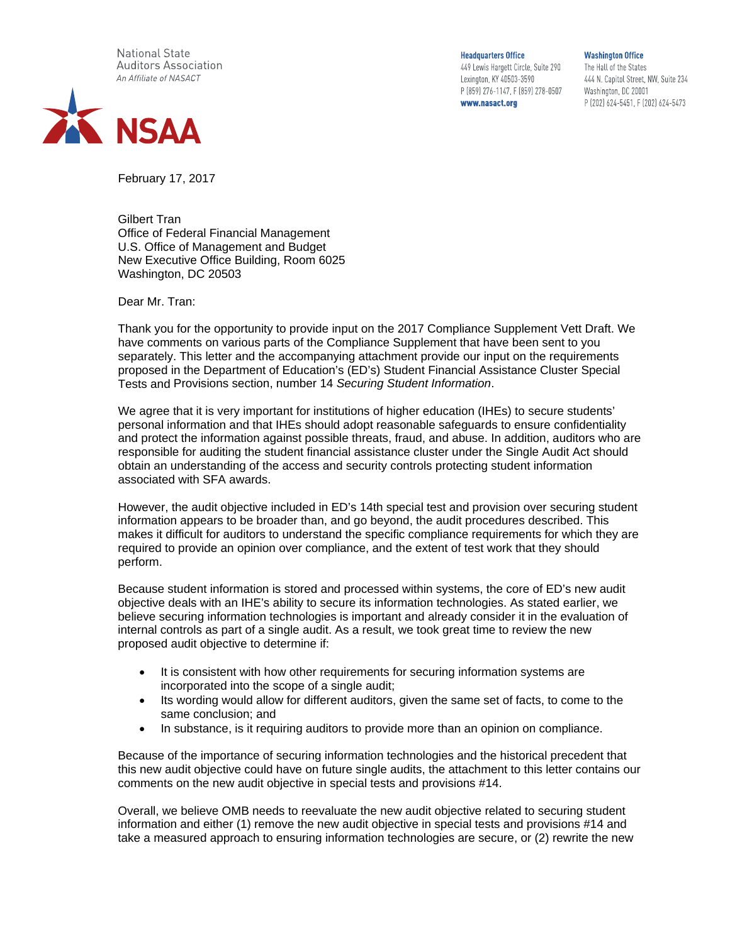**National State Auditors Association** An Affiliate of NASACT



**Headquarters Office** 

449 Lewis Hargett Circle, Suite 290 Lexington, KY 40503-3590 P (859) 276-1147, F (859) 278-0507 www.nasact.org

**Washington Office** The Hall of the States 444 N. Capitol Street, NW, Suite 234 Washington, DC 20001 P (202) 624-5451, F (202) 624-5473

February 17, 2017

Gilbert Tran Office of Federal Financial Management U.S. Office of Management and Budget New Executive Office Building, Room 6025 Washington, DC 20503

Dear Mr. Tran:

Thank you for the opportunity to provide input on the 2017 Compliance Supplement Vett Draft. We have comments on various parts of the Compliance Supplement that have been sent to you separately. This letter and the accompanying attachment provide our input on the requirements proposed in the Department of Education's (ED's) Student Financial Assistance Cluster Special Tests and Provisions section, number 14 *Securing Student Information*.

We agree that it is very important for institutions of higher education (IHEs) to secure students' personal information and that IHEs should adopt reasonable safeguards to ensure confidentiality and protect the information against possible threats, fraud, and abuse. In addition, auditors who are responsible for auditing the student financial assistance cluster under the Single Audit Act should obtain an understanding of the access and security controls protecting student information associated with SFA awards.

However, the audit objective included in ED's 14th special test and provision over securing student information appears to be broader than, and go beyond, the audit procedures described. This makes it difficult for auditors to understand the specific compliance requirements for which they are required to provide an opinion over compliance, and the extent of test work that they should perform.

Because student information is stored and processed within systems, the core of ED's new audit objective deals with an IHE's ability to secure its information technologies. As stated earlier, we believe securing information technologies is important and already consider it in the evaluation of internal controls as part of a single audit. As a result, we took great time to review the new proposed audit objective to determine if:

- It is consistent with how other requirements for securing information systems are incorporated into the scope of a single audit;
- Its wording would allow for different auditors, given the same set of facts, to come to the same conclusion; and
- In substance, is it requiring auditors to provide more than an opinion on compliance.

Because of the importance of securing information technologies and the historical precedent that this new audit objective could have on future single audits, the attachment to this letter contains our comments on the new audit objective in special tests and provisions #14.

Overall, we believe OMB needs to reevaluate the new audit objective related to securing student information and either (1) remove the new audit objective in special tests and provisions #14 and take a measured approach to ensuring information technologies are secure, or (2) rewrite the new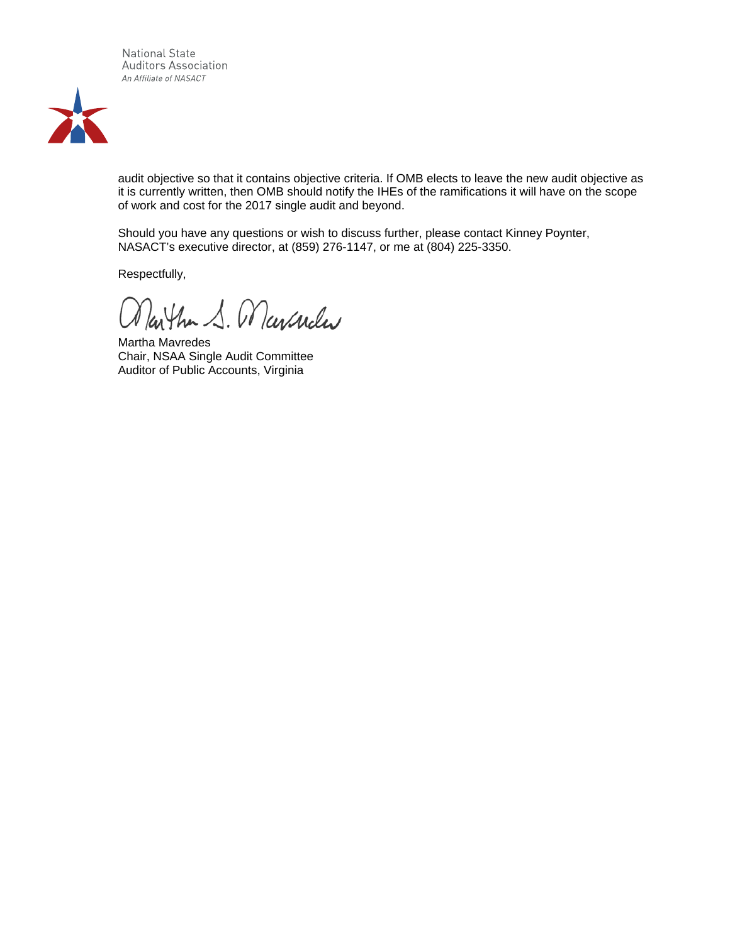**National State** Auditors Association An Affiliate of NASACT



audit objective so that it contains objective criteria. If OMB elects to leave the new audit objective as it is currently written, then OMB should notify the IHEs of the ramifications it will have on the scope of work and cost for the 2017 single audit and beyond.

Should you have any questions or wish to discuss further, please contact Kinney Poynter, NASACT's executive director, at (859) 276-1147, or me at (804) 225-3350.

Respectfully,

Martha S. Marcueler

Martha Mavredes Chair, NSAA Single Audit Committee Auditor of Public Accounts, Virginia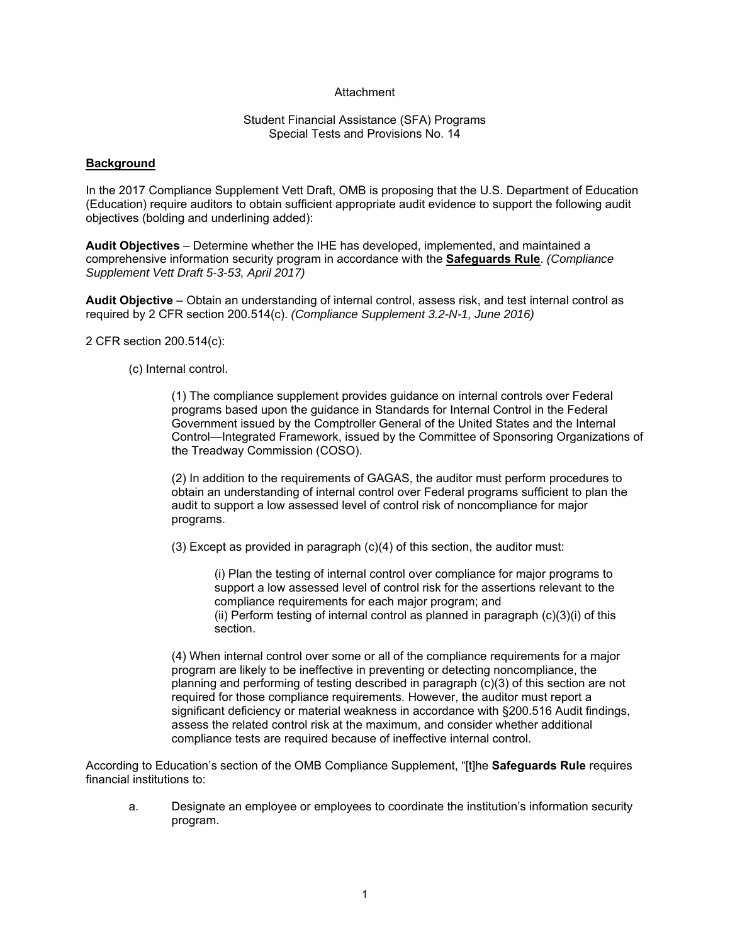# Attachment

#### Student Financial Assistance (SFA) Programs Special Tests and Provisions No. 14

#### **Background**

In the 2017 Compliance Supplement Vett Draft, OMB is proposing that the U.S. Department of Education (Education) require auditors to obtain sufficient appropriate audit evidence to support the following audit objectives (bolding and underlining added):

**Audit Objectives** – Determine whether the IHE has developed, implemented, and maintained a comprehensive information security program in accordance with the **Safeguards Rule**. *(Compliance Supplement Vett Draft 5-3-53, April 2017)*

**Audit Objective** – Obtain an understanding of internal control, assess risk, and test internal control as required by 2 CFR section 200.514(c). *(Compliance Supplement 3.2-N-1, June 2016)*

2 CFR section 200.514(c):

(c) Internal control.

(1) The compliance supplement provides guidance on internal controls over Federal programs based upon the guidance in Standards for Internal Control in the Federal Government issued by the Comptroller General of the United States and the Internal Control—Integrated Framework, issued by the Committee of Sponsoring Organizations of the Treadway Commission (COSO).

(2) In addition to the requirements of GAGAS, the auditor must perform procedures to obtain an understanding of internal control over Federal programs sufficient to plan the audit to support a low assessed level of control risk of noncompliance for major programs.

(3) Except as provided in paragraph (c)(4) of this section, the auditor must:

(i) Plan the testing of internal control over compliance for major programs to support a low assessed level of control risk for the assertions relevant to the compliance requirements for each major program; and (ii) Perform testing of internal control as planned in paragraph (c)(3)(i) of this

section.

(4) When internal control over some or all of the compliance requirements for a major program are likely to be ineffective in preventing or detecting noncompliance, the planning and performing of testing described in paragraph (c)(3) of this section are not required for those compliance requirements. However, the auditor must report a significant deficiency or material weakness in accordance with §200.516 Audit findings, assess the related control risk at the maximum, and consider whether additional compliance tests are required because of ineffective internal control.

According to Education's section of the OMB Compliance Supplement, "[t]he **Safeguards Rule** requires financial institutions to:

a. Designate an employee or employees to coordinate the institution's information security program.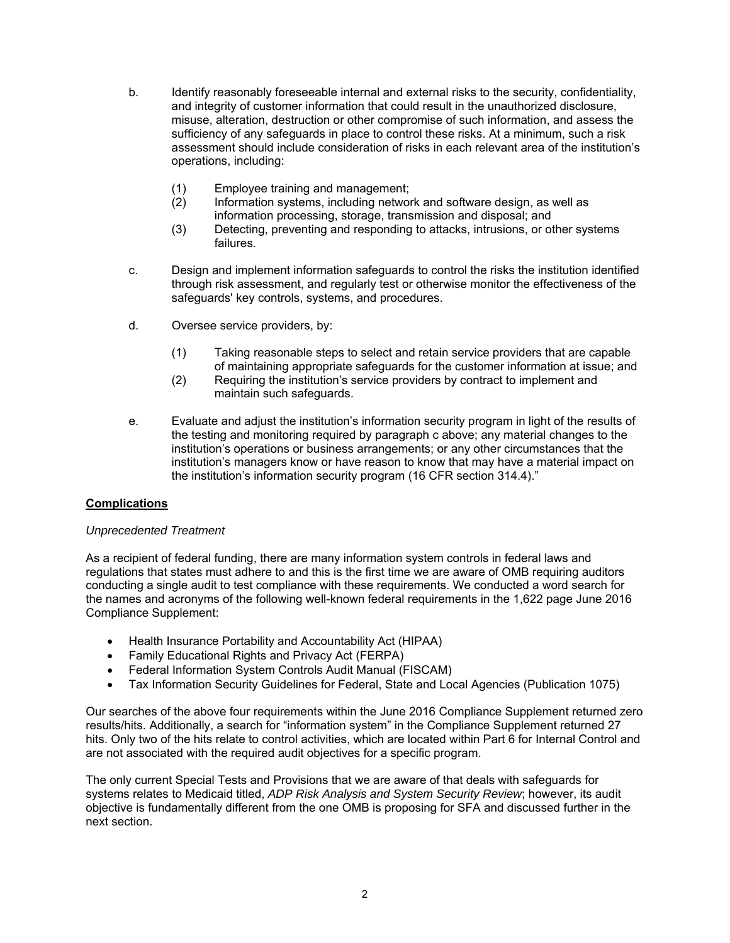- b. Identify reasonably foreseeable internal and external risks to the security, confidentiality, and integrity of customer information that could result in the unauthorized disclosure, misuse, alteration, destruction or other compromise of such information, and assess the sufficiency of any safeguards in place to control these risks. At a minimum, such a risk assessment should include consideration of risks in each relevant area of the institution's operations, including:
	- (1) Employee training and management;
	- (2) Information systems, including network and software design, as well as information processing, storage, transmission and disposal; and
	- (3) Detecting, preventing and responding to attacks, intrusions, or other systems failures.
- c. Design and implement information safeguards to control the risks the institution identified through risk assessment, and regularly test or otherwise monitor the effectiveness of the safeguards' key controls, systems, and procedures.
- d. Oversee service providers, by:
	- (1) Taking reasonable steps to select and retain service providers that are capable of maintaining appropriate safeguards for the customer information at issue; and
	- (2) Requiring the institution's service providers by contract to implement and maintain such safeguards.
- e. Evaluate and adjust the institution's information security program in light of the results of the testing and monitoring required by paragraph c above; any material changes to the institution's operations or business arrangements; or any other circumstances that the institution's managers know or have reason to know that may have a material impact on the institution's information security program (16 CFR section 314.4)."

# **Complications**

# *Unprecedented Treatment*

As a recipient of federal funding, there are many information system controls in federal laws and regulations that states must adhere to and this is the first time we are aware of OMB requiring auditors conducting a single audit to test compliance with these requirements. We conducted a word search for the names and acronyms of the following well-known federal requirements in the 1,622 page June 2016 Compliance Supplement:

- Health Insurance Portability and Accountability Act (HIPAA)
- Family Educational Rights and Privacy Act (FERPA)
- Federal Information System Controls Audit Manual (FISCAM)
- Tax Information Security Guidelines for Federal, State and Local Agencies (Publication 1075)

Our searches of the above four requirements within the June 2016 Compliance Supplement returned zero results/hits. Additionally, a search for "information system" in the Compliance Supplement returned 27 hits. Only two of the hits relate to control activities, which are located within Part 6 for Internal Control and are not associated with the required audit objectives for a specific program.

The only current Special Tests and Provisions that we are aware of that deals with safeguards for systems relates to Medicaid titled, *ADP Risk Analysis and System Security Review*; however, its audit objective is fundamentally different from the one OMB is proposing for SFA and discussed further in the next section.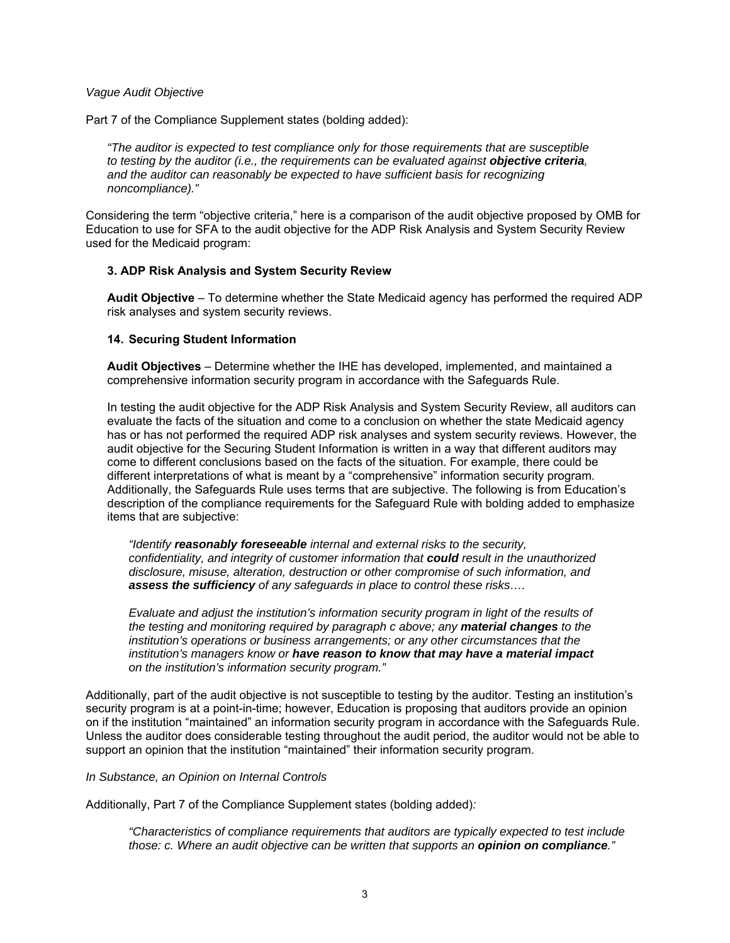#### *Vague Audit Objective*

Part 7 of the Compliance Supplement states (bolding added):

*"The auditor is expected to test compliance only for those requirements that are susceptible to testing by the auditor (i.e., the requirements can be evaluated against objective criteria, and the auditor can reasonably be expected to have sufficient basis for recognizing noncompliance)."* 

Considering the term "objective criteria," here is a comparison of the audit objective proposed by OMB for Education to use for SFA to the audit objective for the ADP Risk Analysis and System Security Review used for the Medicaid program:

# **3. ADP Risk Analysis and System Security Review**

**Audit Objective** – To determine whether the State Medicaid agency has performed the required ADP risk analyses and system security reviews.

#### **14. Securing Student Information**

**Audit Objectives** – Determine whether the IHE has developed, implemented, and maintained a comprehensive information security program in accordance with the Safeguards Rule.

In testing the audit objective for the ADP Risk Analysis and System Security Review, all auditors can evaluate the facts of the situation and come to a conclusion on whether the state Medicaid agency has or has not performed the required ADP risk analyses and system security reviews. However, the audit objective for the Securing Student Information is written in a way that different auditors may come to different conclusions based on the facts of the situation. For example, there could be different interpretations of what is meant by a "comprehensive" information security program. Additionally, the Safeguards Rule uses terms that are subjective. The following is from Education's description of the compliance requirements for the Safeguard Rule with bolding added to emphasize items that are subjective:

*"Identify reasonably foreseeable internal and external risks to the security, confidentiality, and integrity of customer information that could result in the unauthorized disclosure, misuse, alteration, destruction or other compromise of such information, and assess the sufficiency of any safeguards in place to control these risks….* 

*Evaluate and adjust the institution's information security program in light of the results of the testing and monitoring required by paragraph c above; any material changes to the institution's operations or business arrangements; or any other circumstances that the institution's managers know or have reason to know that may have a material impact on the institution's information security program."* 

Additionally, part of the audit objective is not susceptible to testing by the auditor. Testing an institution's security program is at a point-in-time; however, Education is proposing that auditors provide an opinion on if the institution "maintained" an information security program in accordance with the Safeguards Rule. Unless the auditor does considerable testing throughout the audit period, the auditor would not be able to support an opinion that the institution "maintained" their information security program.

#### *In Substance, an Opinion on Internal Controls*

Additionally, Part 7 of the Compliance Supplement states (bolding added)*:*

*"Characteristics of compliance requirements that auditors are typically expected to test include those: c. Where an audit objective can be written that supports an opinion on compliance."*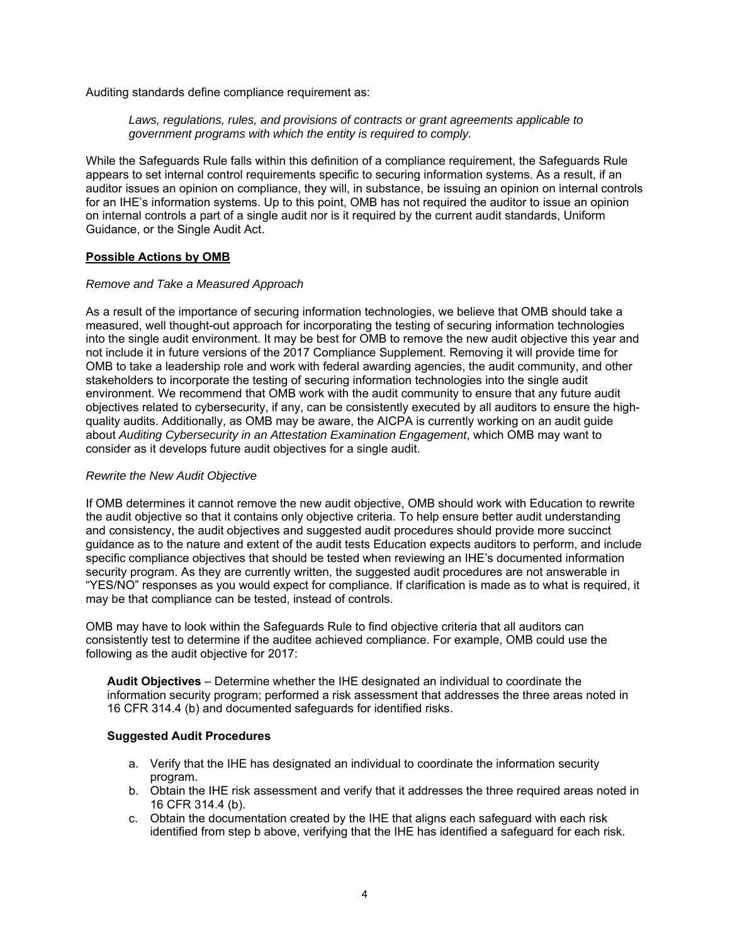Auditing standards define compliance requirement as:

#### *Laws, regulations, rules, and provisions of contracts or grant agreements applicable to government programs with which the entity is required to comply.*

While the Safeguards Rule falls within this definition of a compliance requirement, the Safeguards Rule appears to set internal control requirements specific to securing information systems. As a result, if an auditor issues an opinion on compliance, they will, in substance, be issuing an opinion on internal controls for an IHE's information systems. Up to this point, OMB has not required the auditor to issue an opinion on internal controls a part of a single audit nor is it required by the current audit standards, Uniform Guidance, or the Single Audit Act.

# **Possible Actions by OMB**

# *Remove and Take a Measured Approach*

As a result of the importance of securing information technologies, we believe that OMB should take a measured, well thought-out approach for incorporating the testing of securing information technologies into the single audit environment. It may be best for OMB to remove the new audit objective this year and not include it in future versions of the 2017 Compliance Supplement. Removing it will provide time for OMB to take a leadership role and work with federal awarding agencies, the audit community, and other stakeholders to incorporate the testing of securing information technologies into the single audit environment. We recommend that OMB work with the audit community to ensure that any future audit objectives related to cybersecurity, if any, can be consistently executed by all auditors to ensure the highquality audits. Additionally, as OMB may be aware, the AICPA is currently working on an audit guide about *Auditing Cybersecurity in an Attestation Examination Engagement*, which OMB may want to consider as it develops future audit objectives for a single audit.

# *Rewrite the New Audit Objective*

If OMB determines it cannot remove the new audit objective, OMB should work with Education to rewrite the audit objective so that it contains only objective criteria. To help ensure better audit understanding and consistency, the audit objectives and suggested audit procedures should provide more succinct guidance as to the nature and extent of the audit tests Education expects auditors to perform, and include specific compliance objectives that should be tested when reviewing an IHE's documented information security program. As they are currently written, the suggested audit procedures are not answerable in "YES/NO" responses as you would expect for compliance. If clarification is made as to what is required, it may be that compliance can be tested, instead of controls.

OMB may have to look within the Safeguards Rule to find objective criteria that all auditors can consistently test to determine if the auditee achieved compliance. For example, OMB could use the following as the audit objective for 2017:

**Audit Objectives** – Determine whether the IHE designated an individual to coordinate the information security program; performed a risk assessment that addresses the three areas noted in 16 CFR 314.4 (b) and documented safeguards for identified risks.

# **Suggested Audit Procedures**

- a. Verify that the IHE has designated an individual to coordinate the information security program.
- b. Obtain the IHE risk assessment and verify that it addresses the three required areas noted in 16 CFR 314.4 (b).
- c. Obtain the documentation created by the IHE that aligns each safeguard with each risk identified from step b above, verifying that the IHE has identified a safeguard for each risk.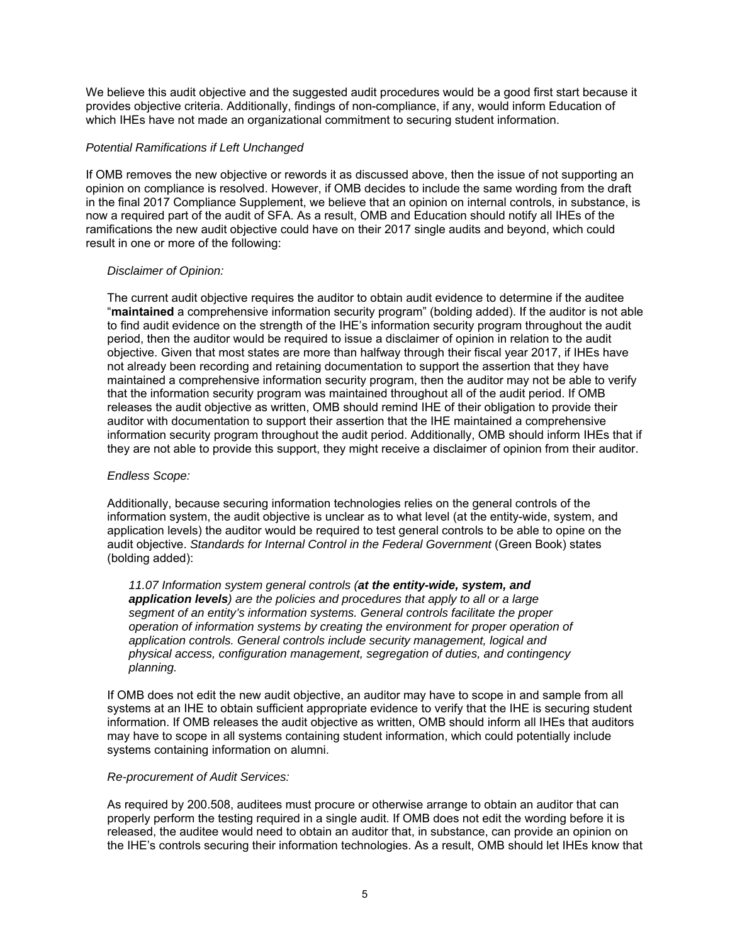We believe this audit objective and the suggested audit procedures would be a good first start because it provides objective criteria. Additionally, findings of non-compliance, if any, would inform Education of which IHEs have not made an organizational commitment to securing student information.

# *Potential Ramifications if Left Unchanged*

If OMB removes the new objective or rewords it as discussed above, then the issue of not supporting an opinion on compliance is resolved. However, if OMB decides to include the same wording from the draft in the final 2017 Compliance Supplement, we believe that an opinion on internal controls, in substance, is now a required part of the audit of SFA. As a result, OMB and Education should notify all IHEs of the ramifications the new audit objective could have on their 2017 single audits and beyond, which could result in one or more of the following:

# *Disclaimer of Opinion:*

The current audit objective requires the auditor to obtain audit evidence to determine if the auditee "**maintained** a comprehensive information security program" (bolding added). If the auditor is not able to find audit evidence on the strength of the IHE's information security program throughout the audit period, then the auditor would be required to issue a disclaimer of opinion in relation to the audit objective. Given that most states are more than halfway through their fiscal year 2017, if IHEs have not already been recording and retaining documentation to support the assertion that they have maintained a comprehensive information security program, then the auditor may not be able to verify that the information security program was maintained throughout all of the audit period. If OMB releases the audit objective as written, OMB should remind IHE of their obligation to provide their auditor with documentation to support their assertion that the IHE maintained a comprehensive information security program throughout the audit period. Additionally, OMB should inform IHEs that if they are not able to provide this support, they might receive a disclaimer of opinion from their auditor.

# *Endless Scope:*

Additionally, because securing information technologies relies on the general controls of the information system, the audit objective is unclear as to what level (at the entity-wide, system, and application levels) the auditor would be required to test general controls to be able to opine on the audit objective. *Standards for Internal Control in the Federal Government* (Green Book) states (bolding added):

*11.07 Information system general controls (at the entity-wide, system, and application levels) are the policies and procedures that apply to all or a large segment of an entity's information systems. General controls facilitate the proper operation of information systems by creating the environment for proper operation of application controls. General controls include security management, logical and physical access, configuration management, segregation of duties, and contingency planning.* 

If OMB does not edit the new audit objective, an auditor may have to scope in and sample from all systems at an IHE to obtain sufficient appropriate evidence to verify that the IHE is securing student information. If OMB releases the audit objective as written, OMB should inform all IHEs that auditors may have to scope in all systems containing student information, which could potentially include systems containing information on alumni.

# *Re-procurement of Audit Services:*

As required by 200.508, auditees must procure or otherwise arrange to obtain an auditor that can properly perform the testing required in a single audit. If OMB does not edit the wording before it is released, the auditee would need to obtain an auditor that, in substance, can provide an opinion on the IHE's controls securing their information technologies. As a result, OMB should let IHEs know that